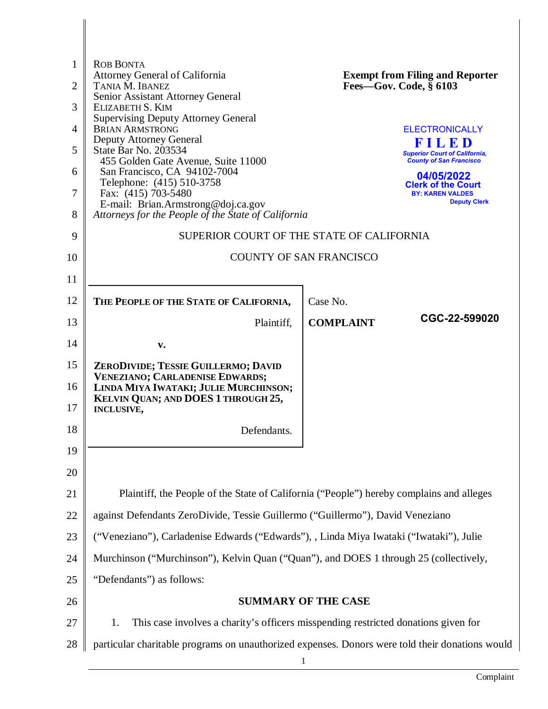| 1              | <b>ROB BONTA</b>                                                                                |                                                                                          |  |
|----------------|-------------------------------------------------------------------------------------------------|------------------------------------------------------------------------------------------|--|
| $\overline{2}$ | Attorney General of California<br>TANIA M. IBANEZ                                               | <b>Exempt from Filing and Reporter</b><br>Fees-Gov. Code, $\bar{\S}$ 6103                |  |
| 3              | Senior Assistant Attorney General<br>ELIZABETH S. KIM                                           |                                                                                          |  |
|                | <b>Supervising Deputy Attorney General</b>                                                      |                                                                                          |  |
| $\overline{4}$ | <b>BRIAN ARMSTRONG</b><br><b>Deputy Attorney General</b>                                        | <b>ELECTRONICALLY</b><br>FILED                                                           |  |
| 5              | State Bar No. 203534<br>455 Golden Gate Avenue, Suite 11000                                     | <b>Superior Court of California,</b><br><b>County of San Francisco</b>                   |  |
| 6              | San Francisco, CA 94102-7004<br>Telephone: (415) 510-3758                                       | 04/05/2022<br><b>Clerk of the Court</b>                                                  |  |
| 7              | Fax: (415) 703-5480                                                                             | <b>BY: KAREN VALDES</b><br><b>Deputy Clerk</b>                                           |  |
| 8              | E-mail: Brian.Armstrong@doj.ca.gov<br>Attorneys for the People of the State of California       |                                                                                          |  |
| 9              | SUPERIOR COURT OF THE STATE OF CALIFORNIA                                                       |                                                                                          |  |
| 10             | <b>COUNTY OF SAN FRANCISCO</b>                                                                  |                                                                                          |  |
| 11             |                                                                                                 |                                                                                          |  |
| 12             | THE PEOPLE OF THE STATE OF CALIFORNIA,                                                          | Case No.                                                                                 |  |
| 13             | Plaintiff,                                                                                      | CGC-22-599020<br><b>COMPLAINT</b>                                                        |  |
| 14             | v.                                                                                              |                                                                                          |  |
| 15             | ZERODIVIDE; TESSIE GUILLERMO; DAVID                                                             |                                                                                          |  |
| 16             | <b>VENEZIANO; CARLADENISE EDWARDS;</b><br>LINDA MIYA IWATAKI; JULIE MURCHINSON;                 |                                                                                          |  |
| 17             | KELVIN QUAN; AND DOES 1 THROUGH 25,<br><b>INCLUSIVE,</b>                                        |                                                                                          |  |
| 18             | Defendants.                                                                                     |                                                                                          |  |
| 19             |                                                                                                 |                                                                                          |  |
| 20             |                                                                                                 |                                                                                          |  |
| 21             |                                                                                                 | Plaintiff, the People of the State of California ("People") hereby complains and alleges |  |
| 22             | against Defendants ZeroDivide, Tessie Guillermo ("Guillermo"), David Veneziano                  |                                                                                          |  |
| 23             | ("Veneziano"), Carladenise Edwards ("Edwards"), , Linda Miya Iwataki ("Iwataki"), Julie         |                                                                                          |  |
| 24             | Murchinson ("Murchinson"), Kelvin Quan ("Quan"), and DOES 1 through 25 (collectively,           |                                                                                          |  |
| 25             | "Defendants" as follows:                                                                        |                                                                                          |  |
| 26             | <b>SUMMARY OF THE CASE</b>                                                                      |                                                                                          |  |
| 27             | This case involves a charity's officers misspending restricted donations given for<br>1.        |                                                                                          |  |
| 28             | particular charitable programs on unauthorized expenses. Donors were told their donations would |                                                                                          |  |
|                |                                                                                                 |                                                                                          |  |

 $\begin{array}{c} \hline \end{array}$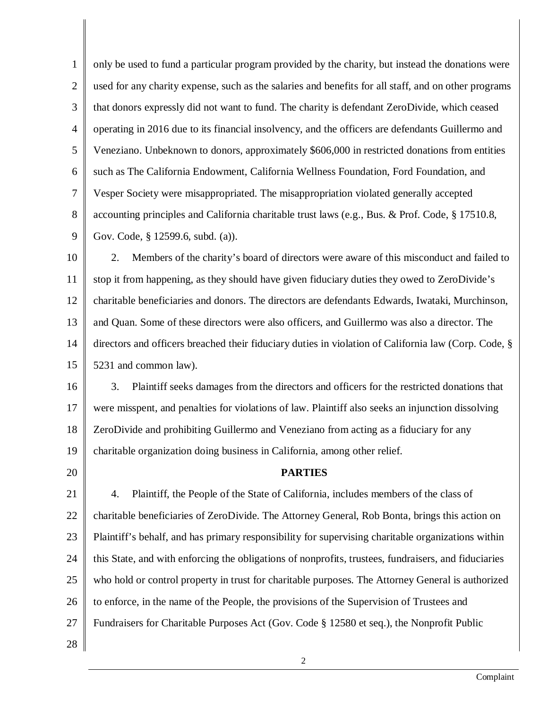1 2 3 4 5 6 7 8 9 only be used to fund a particular program provided by the charity, but instead the donations were used for any charity expense, such as the salaries and benefits for all staff, and on other programs that donors expressly did not want to fund. The charity is defendant ZeroDivide, which ceased operating in 2016 due to its financial insolvency, and the officers are defendants Guillermo and Veneziano. Unbeknown to donors, approximately \$606,000 in restricted donations from entities such as The California Endowment, California Wellness Foundation, Ford Foundation, and Vesper Society were misappropriated. The misappropriation violated generally accepted accounting principles and California charitable trust laws (e.g., Bus. & Prof. Code, § 17510.8, Gov. Code, § 12599.6, subd. (a)).

10 11 12 13 14 15 2. Members of the charity's board of directors were aware of this misconduct and failed to stop it from happening, as they should have given fiduciary duties they owed to ZeroDivide's charitable beneficiaries and donors. The directors are defendants Edwards, Iwataki, Murchinson, and Quan. Some of these directors were also officers, and Guillermo was also a director. The directors and officers breached their fiduciary duties in violation of California law (Corp. Code, § 5231 and common law).

16 17 18 19 3. Plaintiff seeks damages from the directors and officers for the restricted donations that were misspent, and penalties for violations of law. Plaintiff also seeks an injunction dissolving ZeroDivide and prohibiting Guillermo and Veneziano from acting as a fiduciary for any charitable organization doing business in California, among other relief.

20

### **PARTIES**

21 22 23 24 25 26 27 4. Plaintiff, the People of the State of California, includes members of the class of charitable beneficiaries of ZeroDivide. The Attorney General, Rob Bonta, brings this action on Plaintiff's behalf, and has primary responsibility for supervising charitable organizations within this State, and with enforcing the obligations of nonprofits, trustees, fundraisers, and fiduciaries who hold or control property in trust for charitable purposes. The Attorney General is authorized to enforce, in the name of the People, the provisions of the Supervision of Trustees and Fundraisers for Charitable Purposes Act (Gov. Code § 12580 et seq.), the Nonprofit Public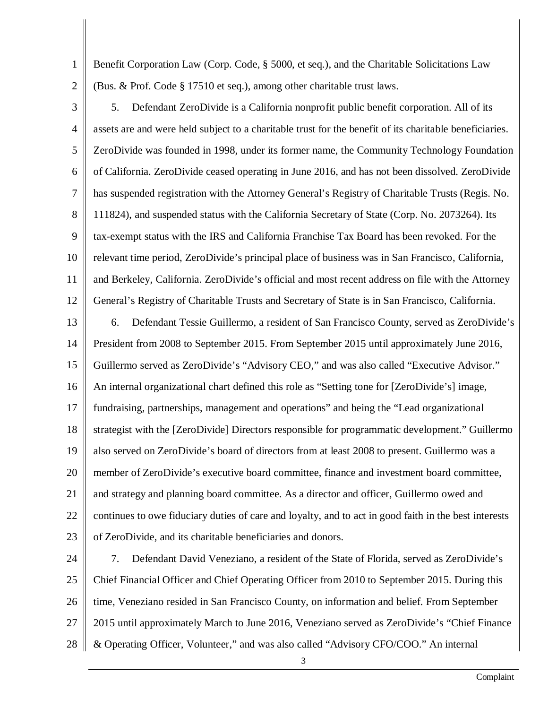1 2 Benefit Corporation Law (Corp. Code, § 5000, et seq.), and the Charitable Solicitations Law (Bus. & Prof. Code § 17510 et seq.), among other charitable trust laws.

3 4 5 6 7 8 9 10 11 12 5. Defendant ZeroDivide is a California nonprofit public benefit corporation. All of its assets are and were held subject to a charitable trust for the benefit of its charitable beneficiaries. ZeroDivide was founded in 1998, under its former name, the Community Technology Foundation of California. ZeroDivide ceased operating in June 2016, and has not been dissolved. ZeroDivide has suspended registration with the Attorney General's Registry of Charitable Trusts (Regis. No. 111824), and suspended status with the California Secretary of State (Corp. No. 2073264). Its tax-exempt status with the IRS and California Franchise Tax Board has been revoked. For the relevant time period, ZeroDivide's principal place of business was in San Francisco, California, and Berkeley, California. ZeroDivide's official and most recent address on file with the Attorney General's Registry of Charitable Trusts and Secretary of State is in San Francisco, California.

13 14 15 16 17 18 19 20 21 22 23 6. Defendant Tessie Guillermo, a resident of San Francisco County, served as ZeroDivide's President from 2008 to September 2015. From September 2015 until approximately June 2016, Guillermo served as ZeroDivide's "Advisory CEO," and was also called "Executive Advisor." An internal organizational chart defined this role as "Setting tone for [ZeroDivide's] image, fundraising, partnerships, management and operations" and being the "Lead organizational strategist with the [ZeroDivide] Directors responsible for programmatic development." Guillermo also served on ZeroDivide's board of directors from at least 2008 to present. Guillermo was a member of ZeroDivide's executive board committee, finance and investment board committee, and strategy and planning board committee. As a director and officer, Guillermo owed and continues to owe fiduciary duties of care and loyalty, and to act in good faith in the best interests of ZeroDivide, and its charitable beneficiaries and donors.

24 25 26 27 28 7. Defendant David Veneziano, a resident of the State of Florida, served as ZeroDivide's Chief Financial Officer and Chief Operating Officer from 2010 to September 2015. During this time, Veneziano resided in San Francisco County, on information and belief. From September 2015 until approximately March to June 2016, Veneziano served as ZeroDivide's "Chief Finance & Operating Officer, Volunteer," and was also called "Advisory CFO/COO." An internal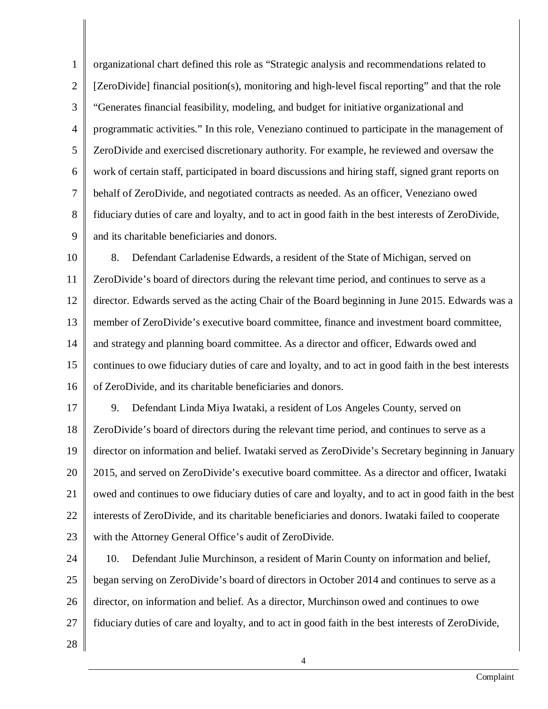1 2 3 4 5 6 7 8 9 organizational chart defined this role as "Strategic analysis and recommendations related to [ZeroDivide] financial position(s), monitoring and high-level fiscal reporting" and that the role "Generates financial feasibility, modeling, and budget for initiative organizational and programmatic activities." In this role, Veneziano continued to participate in the management of ZeroDivide and exercised discretionary authority. For example, he reviewed and oversaw the work of certain staff, participated in board discussions and hiring staff, signed grant reports on behalf of ZeroDivide, and negotiated contracts as needed. As an officer, Veneziano owed fiduciary duties of care and loyalty, and to act in good faith in the best interests of ZeroDivide, and its charitable beneficiaries and donors.

10 11 12 13 14 15 16 8. Defendant Carladenise Edwards, a resident of the State of Michigan, served on ZeroDivide's board of directors during the relevant time period, and continues to serve as a director. Edwards served as the acting Chair of the Board beginning in June 2015. Edwards was a member of ZeroDivide's executive board committee, finance and investment board committee, and strategy and planning board committee. As a director and officer, Edwards owed and continues to owe fiduciary duties of care and loyalty, and to act in good faith in the best interests of ZeroDivide, and its charitable beneficiaries and donors.

17 18 19 20 21 22 23 9. Defendant Linda Miya Iwataki, a resident of Los Angeles County, served on ZeroDivide's board of directors during the relevant time period, and continues to serve as a director on information and belief. Iwataki served as ZeroDivide's Secretary beginning in January 2015, and served on ZeroDivide's executive board committee. As a director and officer, Iwataki owed and continues to owe fiduciary duties of care and loyalty, and to act in good faith in the best interests of ZeroDivide, and its charitable beneficiaries and donors. Iwataki failed to cooperate with the Attorney General Office's audit of ZeroDivide.

24 25 26 27 10. Defendant Julie Murchinson, a resident of Marin County on information and belief, began serving on ZeroDivide's board of directors in October 2014 and continues to serve as a director, on information and belief. As a director, Murchinson owed and continues to owe fiduciary duties of care and loyalty, and to act in good faith in the best interests of ZeroDivide,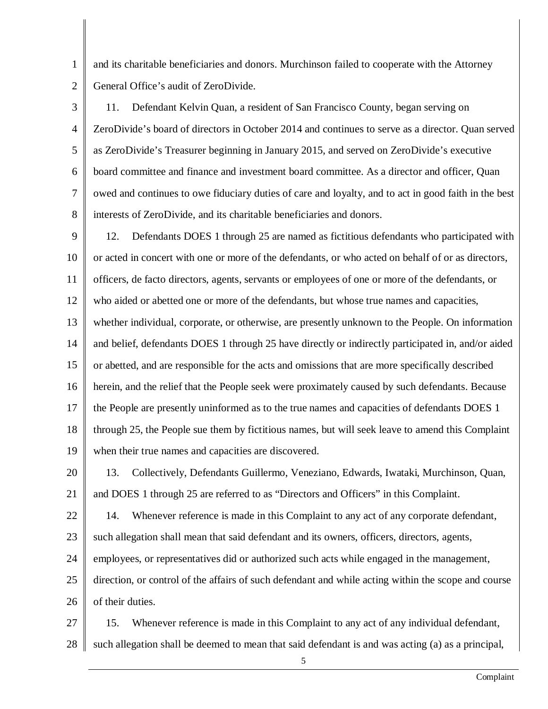2 and its charitable beneficiaries and donors. Murchinson failed to cooperate with the Attorney General Office's audit of ZeroDivide.

1

3 4 5 6 7 8 11. Defendant Kelvin Quan, a resident of San Francisco County, began serving on ZeroDivide's board of directors in October 2014 and continues to serve as a director. Quan served as ZeroDivide's Treasurer beginning in January 2015, and served on ZeroDivide's executive board committee and finance and investment board committee. As a director and officer, Quan owed and continues to owe fiduciary duties of care and loyalty, and to act in good faith in the best interests of ZeroDivide, and its charitable beneficiaries and donors.

9 10 11 12 13 14 15 16 17 18 19 12. Defendants DOES 1 through 25 are named as fictitious defendants who participated with or acted in concert with one or more of the defendants, or who acted on behalf of or as directors, officers, de facto directors, agents, servants or employees of one or more of the defendants, or who aided or abetted one or more of the defendants, but whose true names and capacities, whether individual, corporate, or otherwise, are presently unknown to the People. On information and belief, defendants DOES 1 through 25 have directly or indirectly participated in, and/or aided or abetted, and are responsible for the acts and omissions that are more specifically described herein, and the relief that the People seek were proximately caused by such defendants. Because the People are presently uninformed as to the true names and capacities of defendants DOES 1 through 25, the People sue them by fictitious names, but will seek leave to amend this Complaint when their true names and capacities are discovered.

20 21 13. Collectively, Defendants Guillermo, Veneziano, Edwards, Iwataki, Murchinson, Quan, and DOES 1 through 25 are referred to as "Directors and Officers" in this Complaint.

22 14. Whenever reference is made in this Complaint to any act of any corporate defendant,

23 such allegation shall mean that said defendant and its owners, officers, directors, agents,

24 employees, or representatives did or authorized such acts while engaged in the management,

25 26 direction, or control of the affairs of such defendant and while acting within the scope and course of their duties.

27 28 15. Whenever reference is made in this Complaint to any act of any individual defendant, such allegation shall be deemed to mean that said defendant is and was acting (a) as a principal,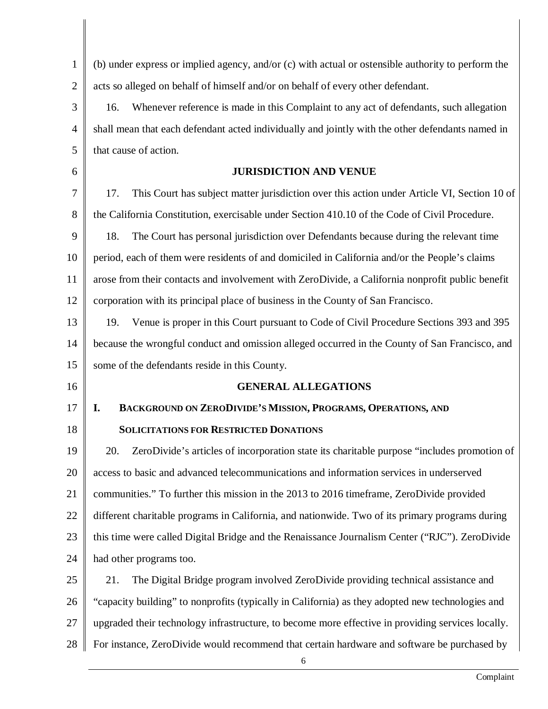| (b) under express or implied agency, and/or (c) with actual or ostensible authority to perform the<br>$\mathbf{1}$<br>$\overline{2}$<br>acts so alleged on behalf of himself and/or on behalf of every other defendant.<br>3<br>Whenever reference is made in this Complaint to any act of defendants, such allegation<br>16.<br>shall mean that each defendant acted individually and jointly with the other defendants named in<br>$\overline{4}$<br>that cause of action.<br>5<br><b>JURISDICTION AND VENUE</b><br>6<br>7<br>17.<br>This Court has subject matter jurisdiction over this action under Article VI, Section 10 of<br>8<br>the California Constitution, exercisable under Section 410.10 of the Code of Civil Procedure.<br>9<br>18.<br>The Court has personal jurisdiction over Defendants because during the relevant time<br>period, each of them were residents of and domiciled in California and/or the People's claims<br>arose from their contacts and involvement with ZeroDivide, a California nonprofit public benefit<br>corporation with its principal place of business in the County of San Francisco.<br>19.<br>Venue is proper in this Court pursuant to Code of Civil Procedure Sections 393 and 395<br>because the wrongful conduct and omission alleged occurred in the County of San Francisco, and<br>some of the defendants reside in this County.<br><b>GENERAL ALLEGATIONS</b><br>BACKGROUND ON ZERODIVIDE'S MISSION, PROGRAMS, OPERATIONS, AND<br>I.<br><b>SOLICITATIONS FOR RESTRICTED DONATIONS</b><br>ZeroDivide's articles of incorporation state its charitable purpose "includes promotion of<br>20.<br>access to basic and advanced telecommunications and information services in underserved<br>communities." To further this mission in the 2013 to 2016 time frame, ZeroDivide provided<br>different charitable programs in California, and nationwide. Two of its primary programs during<br>this time were called Digital Bridge and the Renaissance Journalism Center ("RJC"). ZeroDivide<br>had other programs too.<br>21.<br>The Digital Bridge program involved ZeroDivide providing technical assistance and<br>"capacity building" to nonprofits (typically in California) as they adopted new technologies and<br>upgraded their technology infrastructure, to become more effective in providing services locally.<br>For instance, ZeroDivide would recommend that certain hardware and software be purchased by<br>6 |    |  |  |  |
|---------------------------------------------------------------------------------------------------------------------------------------------------------------------------------------------------------------------------------------------------------------------------------------------------------------------------------------------------------------------------------------------------------------------------------------------------------------------------------------------------------------------------------------------------------------------------------------------------------------------------------------------------------------------------------------------------------------------------------------------------------------------------------------------------------------------------------------------------------------------------------------------------------------------------------------------------------------------------------------------------------------------------------------------------------------------------------------------------------------------------------------------------------------------------------------------------------------------------------------------------------------------------------------------------------------------------------------------------------------------------------------------------------------------------------------------------------------------------------------------------------------------------------------------------------------------------------------------------------------------------------------------------------------------------------------------------------------------------------------------------------------------------------------------------------------------------------------------------------------------------------------------------------------------------------------------------------------------------------------------------------------------------------------------------------------------------------------------------------------------------------------------------------------------------------------------------------------------------------------------------------------------------------------------------------------------------------------------------------------------------------------------------------------------------------------------------------------------------------------|----|--|--|--|
|                                                                                                                                                                                                                                                                                                                                                                                                                                                                                                                                                                                                                                                                                                                                                                                                                                                                                                                                                                                                                                                                                                                                                                                                                                                                                                                                                                                                                                                                                                                                                                                                                                                                                                                                                                                                                                                                                                                                                                                                                                                                                                                                                                                                                                                                                                                                                                                                                                                                                       |    |  |  |  |
|                                                                                                                                                                                                                                                                                                                                                                                                                                                                                                                                                                                                                                                                                                                                                                                                                                                                                                                                                                                                                                                                                                                                                                                                                                                                                                                                                                                                                                                                                                                                                                                                                                                                                                                                                                                                                                                                                                                                                                                                                                                                                                                                                                                                                                                                                                                                                                                                                                                                                       |    |  |  |  |
|                                                                                                                                                                                                                                                                                                                                                                                                                                                                                                                                                                                                                                                                                                                                                                                                                                                                                                                                                                                                                                                                                                                                                                                                                                                                                                                                                                                                                                                                                                                                                                                                                                                                                                                                                                                                                                                                                                                                                                                                                                                                                                                                                                                                                                                                                                                                                                                                                                                                                       |    |  |  |  |
|                                                                                                                                                                                                                                                                                                                                                                                                                                                                                                                                                                                                                                                                                                                                                                                                                                                                                                                                                                                                                                                                                                                                                                                                                                                                                                                                                                                                                                                                                                                                                                                                                                                                                                                                                                                                                                                                                                                                                                                                                                                                                                                                                                                                                                                                                                                                                                                                                                                                                       |    |  |  |  |
|                                                                                                                                                                                                                                                                                                                                                                                                                                                                                                                                                                                                                                                                                                                                                                                                                                                                                                                                                                                                                                                                                                                                                                                                                                                                                                                                                                                                                                                                                                                                                                                                                                                                                                                                                                                                                                                                                                                                                                                                                                                                                                                                                                                                                                                                                                                                                                                                                                                                                       |    |  |  |  |
|                                                                                                                                                                                                                                                                                                                                                                                                                                                                                                                                                                                                                                                                                                                                                                                                                                                                                                                                                                                                                                                                                                                                                                                                                                                                                                                                                                                                                                                                                                                                                                                                                                                                                                                                                                                                                                                                                                                                                                                                                                                                                                                                                                                                                                                                                                                                                                                                                                                                                       |    |  |  |  |
|                                                                                                                                                                                                                                                                                                                                                                                                                                                                                                                                                                                                                                                                                                                                                                                                                                                                                                                                                                                                                                                                                                                                                                                                                                                                                                                                                                                                                                                                                                                                                                                                                                                                                                                                                                                                                                                                                                                                                                                                                                                                                                                                                                                                                                                                                                                                                                                                                                                                                       |    |  |  |  |
|                                                                                                                                                                                                                                                                                                                                                                                                                                                                                                                                                                                                                                                                                                                                                                                                                                                                                                                                                                                                                                                                                                                                                                                                                                                                                                                                                                                                                                                                                                                                                                                                                                                                                                                                                                                                                                                                                                                                                                                                                                                                                                                                                                                                                                                                                                                                                                                                                                                                                       |    |  |  |  |
|                                                                                                                                                                                                                                                                                                                                                                                                                                                                                                                                                                                                                                                                                                                                                                                                                                                                                                                                                                                                                                                                                                                                                                                                                                                                                                                                                                                                                                                                                                                                                                                                                                                                                                                                                                                                                                                                                                                                                                                                                                                                                                                                                                                                                                                                                                                                                                                                                                                                                       |    |  |  |  |
|                                                                                                                                                                                                                                                                                                                                                                                                                                                                                                                                                                                                                                                                                                                                                                                                                                                                                                                                                                                                                                                                                                                                                                                                                                                                                                                                                                                                                                                                                                                                                                                                                                                                                                                                                                                                                                                                                                                                                                                                                                                                                                                                                                                                                                                                                                                                                                                                                                                                                       | 10 |  |  |  |
|                                                                                                                                                                                                                                                                                                                                                                                                                                                                                                                                                                                                                                                                                                                                                                                                                                                                                                                                                                                                                                                                                                                                                                                                                                                                                                                                                                                                                                                                                                                                                                                                                                                                                                                                                                                                                                                                                                                                                                                                                                                                                                                                                                                                                                                                                                                                                                                                                                                                                       | 11 |  |  |  |
|                                                                                                                                                                                                                                                                                                                                                                                                                                                                                                                                                                                                                                                                                                                                                                                                                                                                                                                                                                                                                                                                                                                                                                                                                                                                                                                                                                                                                                                                                                                                                                                                                                                                                                                                                                                                                                                                                                                                                                                                                                                                                                                                                                                                                                                                                                                                                                                                                                                                                       | 12 |  |  |  |
|                                                                                                                                                                                                                                                                                                                                                                                                                                                                                                                                                                                                                                                                                                                                                                                                                                                                                                                                                                                                                                                                                                                                                                                                                                                                                                                                                                                                                                                                                                                                                                                                                                                                                                                                                                                                                                                                                                                                                                                                                                                                                                                                                                                                                                                                                                                                                                                                                                                                                       | 13 |  |  |  |
|                                                                                                                                                                                                                                                                                                                                                                                                                                                                                                                                                                                                                                                                                                                                                                                                                                                                                                                                                                                                                                                                                                                                                                                                                                                                                                                                                                                                                                                                                                                                                                                                                                                                                                                                                                                                                                                                                                                                                                                                                                                                                                                                                                                                                                                                                                                                                                                                                                                                                       | 14 |  |  |  |
|                                                                                                                                                                                                                                                                                                                                                                                                                                                                                                                                                                                                                                                                                                                                                                                                                                                                                                                                                                                                                                                                                                                                                                                                                                                                                                                                                                                                                                                                                                                                                                                                                                                                                                                                                                                                                                                                                                                                                                                                                                                                                                                                                                                                                                                                                                                                                                                                                                                                                       | 15 |  |  |  |
|                                                                                                                                                                                                                                                                                                                                                                                                                                                                                                                                                                                                                                                                                                                                                                                                                                                                                                                                                                                                                                                                                                                                                                                                                                                                                                                                                                                                                                                                                                                                                                                                                                                                                                                                                                                                                                                                                                                                                                                                                                                                                                                                                                                                                                                                                                                                                                                                                                                                                       | 16 |  |  |  |
|                                                                                                                                                                                                                                                                                                                                                                                                                                                                                                                                                                                                                                                                                                                                                                                                                                                                                                                                                                                                                                                                                                                                                                                                                                                                                                                                                                                                                                                                                                                                                                                                                                                                                                                                                                                                                                                                                                                                                                                                                                                                                                                                                                                                                                                                                                                                                                                                                                                                                       | 17 |  |  |  |
|                                                                                                                                                                                                                                                                                                                                                                                                                                                                                                                                                                                                                                                                                                                                                                                                                                                                                                                                                                                                                                                                                                                                                                                                                                                                                                                                                                                                                                                                                                                                                                                                                                                                                                                                                                                                                                                                                                                                                                                                                                                                                                                                                                                                                                                                                                                                                                                                                                                                                       | 18 |  |  |  |
|                                                                                                                                                                                                                                                                                                                                                                                                                                                                                                                                                                                                                                                                                                                                                                                                                                                                                                                                                                                                                                                                                                                                                                                                                                                                                                                                                                                                                                                                                                                                                                                                                                                                                                                                                                                                                                                                                                                                                                                                                                                                                                                                                                                                                                                                                                                                                                                                                                                                                       | 19 |  |  |  |
|                                                                                                                                                                                                                                                                                                                                                                                                                                                                                                                                                                                                                                                                                                                                                                                                                                                                                                                                                                                                                                                                                                                                                                                                                                                                                                                                                                                                                                                                                                                                                                                                                                                                                                                                                                                                                                                                                                                                                                                                                                                                                                                                                                                                                                                                                                                                                                                                                                                                                       | 20 |  |  |  |
|                                                                                                                                                                                                                                                                                                                                                                                                                                                                                                                                                                                                                                                                                                                                                                                                                                                                                                                                                                                                                                                                                                                                                                                                                                                                                                                                                                                                                                                                                                                                                                                                                                                                                                                                                                                                                                                                                                                                                                                                                                                                                                                                                                                                                                                                                                                                                                                                                                                                                       | 21 |  |  |  |
|                                                                                                                                                                                                                                                                                                                                                                                                                                                                                                                                                                                                                                                                                                                                                                                                                                                                                                                                                                                                                                                                                                                                                                                                                                                                                                                                                                                                                                                                                                                                                                                                                                                                                                                                                                                                                                                                                                                                                                                                                                                                                                                                                                                                                                                                                                                                                                                                                                                                                       | 22 |  |  |  |
|                                                                                                                                                                                                                                                                                                                                                                                                                                                                                                                                                                                                                                                                                                                                                                                                                                                                                                                                                                                                                                                                                                                                                                                                                                                                                                                                                                                                                                                                                                                                                                                                                                                                                                                                                                                                                                                                                                                                                                                                                                                                                                                                                                                                                                                                                                                                                                                                                                                                                       | 23 |  |  |  |
|                                                                                                                                                                                                                                                                                                                                                                                                                                                                                                                                                                                                                                                                                                                                                                                                                                                                                                                                                                                                                                                                                                                                                                                                                                                                                                                                                                                                                                                                                                                                                                                                                                                                                                                                                                                                                                                                                                                                                                                                                                                                                                                                                                                                                                                                                                                                                                                                                                                                                       | 24 |  |  |  |
|                                                                                                                                                                                                                                                                                                                                                                                                                                                                                                                                                                                                                                                                                                                                                                                                                                                                                                                                                                                                                                                                                                                                                                                                                                                                                                                                                                                                                                                                                                                                                                                                                                                                                                                                                                                                                                                                                                                                                                                                                                                                                                                                                                                                                                                                                                                                                                                                                                                                                       | 25 |  |  |  |
|                                                                                                                                                                                                                                                                                                                                                                                                                                                                                                                                                                                                                                                                                                                                                                                                                                                                                                                                                                                                                                                                                                                                                                                                                                                                                                                                                                                                                                                                                                                                                                                                                                                                                                                                                                                                                                                                                                                                                                                                                                                                                                                                                                                                                                                                                                                                                                                                                                                                                       | 26 |  |  |  |
|                                                                                                                                                                                                                                                                                                                                                                                                                                                                                                                                                                                                                                                                                                                                                                                                                                                                                                                                                                                                                                                                                                                                                                                                                                                                                                                                                                                                                                                                                                                                                                                                                                                                                                                                                                                                                                                                                                                                                                                                                                                                                                                                                                                                                                                                                                                                                                                                                                                                                       | 27 |  |  |  |
|                                                                                                                                                                                                                                                                                                                                                                                                                                                                                                                                                                                                                                                                                                                                                                                                                                                                                                                                                                                                                                                                                                                                                                                                                                                                                                                                                                                                                                                                                                                                                                                                                                                                                                                                                                                                                                                                                                                                                                                                                                                                                                                                                                                                                                                                                                                                                                                                                                                                                       | 28 |  |  |  |

║  $\parallel$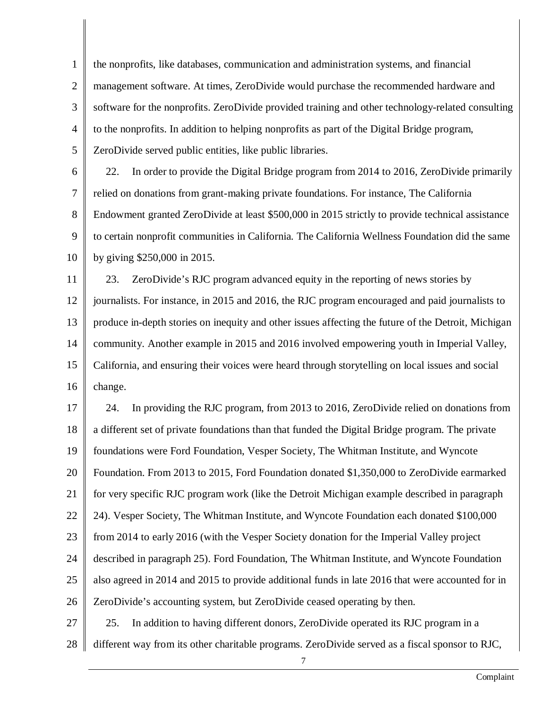1 2 3 4 5 the nonprofits, like databases, communication and administration systems, and financial management software. At times, ZeroDivide would purchase the recommended hardware and software for the nonprofits. ZeroDivide provided training and other technology-related consulting to the nonprofits. In addition to helping nonprofits as part of the Digital Bridge program, ZeroDivide served public entities, like public libraries.

6 7 8 9 10 22. In order to provide the Digital Bridge program from 2014 to 2016, ZeroDivide primarily relied on donations from grant-making private foundations. For instance, The California Endowment granted ZeroDivide at least \$500,000 in 2015 strictly to provide technical assistance to certain nonprofit communities in California. The California Wellness Foundation did the same by giving \$250,000 in 2015.

11 12 13 14 15 16 23. ZeroDivide's RJC program advanced equity in the reporting of news stories by journalists. For instance, in 2015 and 2016, the RJC program encouraged and paid journalists to produce in-depth stories on inequity and other issues affecting the future of the Detroit, Michigan community. Another example in 2015 and 2016 involved empowering youth in Imperial Valley, California, and ensuring their voices were heard through storytelling on local issues and social change.

17 18 19 20 21 22 23 24 25 26 27 24. In providing the RJC program, from 2013 to 2016, ZeroDivide relied on donations from a different set of private foundations than that funded the Digital Bridge program. The private foundations were Ford Foundation, Vesper Society, The Whitman Institute, and Wyncote Foundation. From 2013 to 2015, Ford Foundation donated \$1,350,000 to ZeroDivide earmarked for very specific RJC program work (like the Detroit Michigan example described in paragraph 24). Vesper Society, The Whitman Institute, and Wyncote Foundation each donated \$100,000 from 2014 to early 2016 (with the Vesper Society donation for the Imperial Valley project described in paragraph 25). Ford Foundation, The Whitman Institute, and Wyncote Foundation also agreed in 2014 and 2015 to provide additional funds in late 2016 that were accounted for in ZeroDivide's accounting system, but ZeroDivide ceased operating by then. 25. In addition to having different donors, ZeroDivide operated its RJC program in a

28 different way from its other charitable programs. ZeroDivide served as a fiscal sponsor to RJC,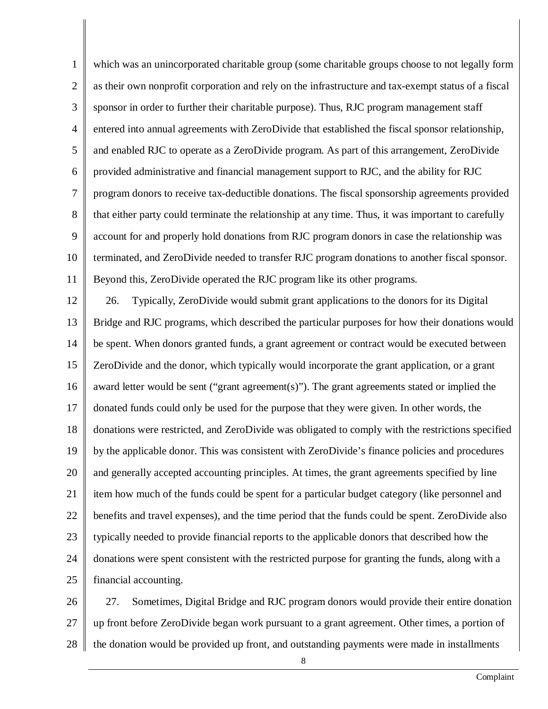1 2 3 4 5 6 7 8 9 10 11 which was an unincorporated charitable group (some charitable groups choose to not legally form as their own nonprofit corporation and rely on the infrastructure and tax-exempt status of a fiscal sponsor in order to further their charitable purpose). Thus, RJC program management staff entered into annual agreements with ZeroDivide that established the fiscal sponsor relationship, and enabled RJC to operate as a ZeroDivide program. As part of this arrangement, ZeroDivide provided administrative and financial management support to RJC, and the ability for RJC program donors to receive tax-deductible donations. The fiscal sponsorship agreements provided that either party could terminate the relationship at any time. Thus, it was important to carefully account for and properly hold donations from RJC program donors in case the relationship was terminated, and ZeroDivide needed to transfer RJC program donations to another fiscal sponsor. Beyond this, ZeroDivide operated the RJC program like its other programs.

12 13 14 15 16 17 18 19 20 21 22 23 24 25 26. Typically, ZeroDivide would submit grant applications to the donors for its Digital Bridge and RJC programs, which described the particular purposes for how their donations would be spent. When donors granted funds, a grant agreement or contract would be executed between ZeroDivide and the donor, which typically would incorporate the grant application, or a grant award letter would be sent ("grant agreement(s)"). The grant agreements stated or implied the donated funds could only be used for the purpose that they were given. In other words, the donations were restricted, and ZeroDivide was obligated to comply with the restrictions specified by the applicable donor. This was consistent with ZeroDivide's finance policies and procedures and generally accepted accounting principles. At times, the grant agreements specified by line item how much of the funds could be spent for a particular budget category (like personnel and benefits and travel expenses), and the time period that the funds could be spent. ZeroDivide also typically needed to provide financial reports to the applicable donors that described how the donations were spent consistent with the restricted purpose for granting the funds, along with a financial accounting.

26 27 28 27. Sometimes, Digital Bridge and RJC program donors would provide their entire donation up front before ZeroDivide began work pursuant to a grant agreement. Other times, a portion of the donation would be provided up front, and outstanding payments were made in installments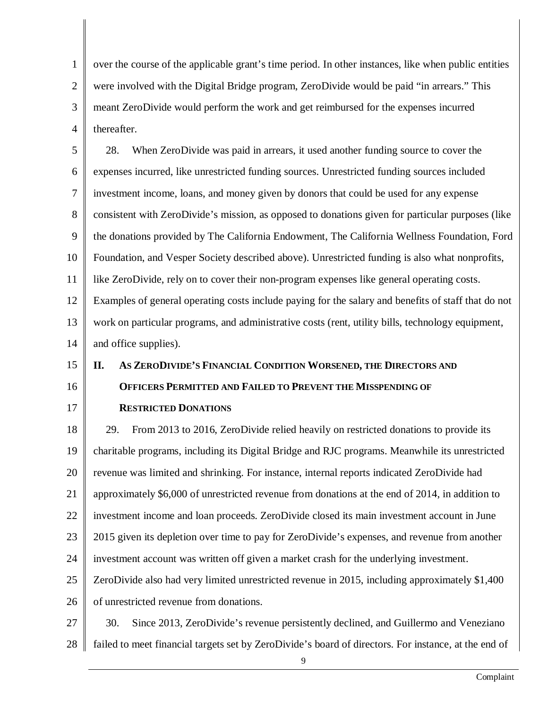1 2 3 4 over the course of the applicable grant's time period. In other instances, like when public entities were involved with the Digital Bridge program, ZeroDivide would be paid "in arrears." This meant ZeroDivide would perform the work and get reimbursed for the expenses incurred thereafter.

5 6 7 8 9 10 11 12 13 14 28. When ZeroDivide was paid in arrears, it used another funding source to cover the expenses incurred, like unrestricted funding sources. Unrestricted funding sources included investment income, loans, and money given by donors that could be used for any expense consistent with ZeroDivide's mission, as opposed to donations given for particular purposes (like the donations provided by The California Endowment, The California Wellness Foundation, Ford Foundation, and Vesper Society described above). Unrestricted funding is also what nonprofits, like ZeroDivide, rely on to cover their non-program expenses like general operating costs. Examples of general operating costs include paying for the salary and benefits of staff that do not work on particular programs, and administrative costs (rent, utility bills, technology equipment, and office supplies).

#### 15 16 17 **II. AS ZERODIVIDE'S FINANCIAL CONDITION WORSENED, THE DIRECTORS AND OFFICERS PERMITTED AND FAILED TO PREVENT THE MISSPENDING OF RESTRICTED DONATIONS**

18 19 20 21 22 23 24 25 26 29. From 2013 to 2016, ZeroDivide relied heavily on restricted donations to provide its charitable programs, including its Digital Bridge and RJC programs. Meanwhile its unrestricted revenue was limited and shrinking. For instance, internal reports indicated ZeroDivide had approximately \$6,000 of unrestricted revenue from donations at the end of 2014, in addition to investment income and loan proceeds. ZeroDivide closed its main investment account in June 2015 given its depletion over time to pay for ZeroDivide's expenses, and revenue from another investment account was written off given a market crash for the underlying investment. ZeroDivide also had very limited unrestricted revenue in 2015, including approximately \$1,400 of unrestricted revenue from donations.

27 28 30. Since 2013, ZeroDivide's revenue persistently declined, and Guillermo and Veneziano failed to meet financial targets set by ZeroDivide's board of directors. For instance, at the end of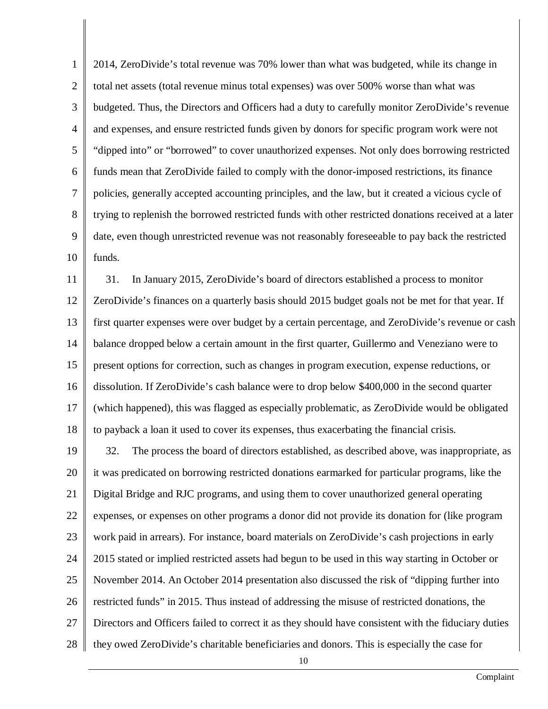1 2 3 4 5 6 7 8 9 10 2014, ZeroDivide's total revenue was 70% lower than what was budgeted, while its change in total net assets (total revenue minus total expenses) was over 500% worse than what was budgeted. Thus, the Directors and Officers had a duty to carefully monitor ZeroDivide's revenue and expenses, and ensure restricted funds given by donors for specific program work were not "dipped into" or "borrowed" to cover unauthorized expenses. Not only does borrowing restricted funds mean that ZeroDivide failed to comply with the donor-imposed restrictions, its finance policies, generally accepted accounting principles, and the law, but it created a vicious cycle of trying to replenish the borrowed restricted funds with other restricted donations received at a later date, even though unrestricted revenue was not reasonably foreseeable to pay back the restricted funds.

11 12 13 14 15 16 17 18 31. In January 2015, ZeroDivide's board of directors established a process to monitor ZeroDivide's finances on a quarterly basis should 2015 budget goals not be met for that year. If first quarter expenses were over budget by a certain percentage, and ZeroDivide's revenue or cash balance dropped below a certain amount in the first quarter, Guillermo and Veneziano were to present options for correction, such as changes in program execution, expense reductions, or dissolution. If ZeroDivide's cash balance were to drop below \$400,000 in the second quarter (which happened), this was flagged as especially problematic, as ZeroDivide would be obligated to payback a loan it used to cover its expenses, thus exacerbating the financial crisis.

19 20 21 22 23 24 25 26 27 28 32. The process the board of directors established, as described above, was inappropriate, as it was predicated on borrowing restricted donations earmarked for particular programs, like the Digital Bridge and RJC programs, and using them to cover unauthorized general operating expenses, or expenses on other programs a donor did not provide its donation for (like program work paid in arrears). For instance, board materials on ZeroDivide's cash projections in early 2015 stated or implied restricted assets had begun to be used in this way starting in October or November 2014. An October 2014 presentation also discussed the risk of "dipping further into restricted funds" in 2015. Thus instead of addressing the misuse of restricted donations, the Directors and Officers failed to correct it as they should have consistent with the fiduciary duties they owed ZeroDivide's charitable beneficiaries and donors. This is especially the case for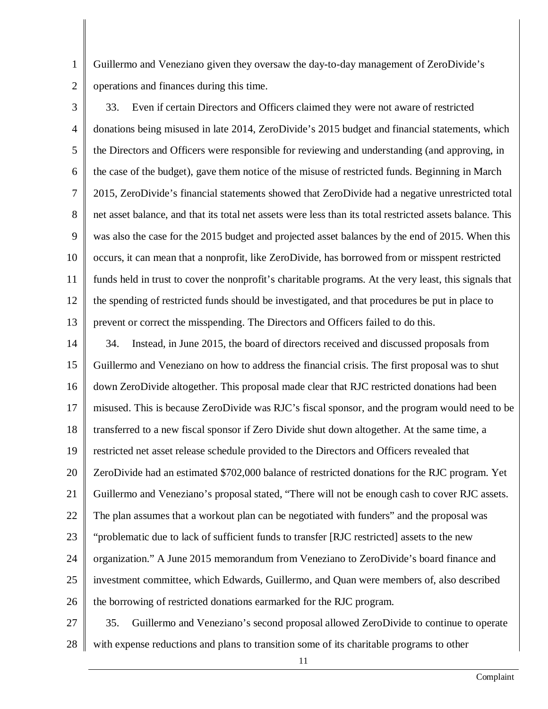1 2 Guillermo and Veneziano given they oversaw the day-to-day management of ZeroDivide's operations and finances during this time.

3 4 5 6 7 8 9 10 11 12 13 33. Even if certain Directors and Officers claimed they were not aware of restricted donations being misused in late 2014, ZeroDivide's 2015 budget and financial statements, which the Directors and Officers were responsible for reviewing and understanding (and approving, in the case of the budget), gave them notice of the misuse of restricted funds. Beginning in March 2015, ZeroDivide's financial statements showed that ZeroDivide had a negative unrestricted total net asset balance, and that its total net assets were less than its total restricted assets balance. This was also the case for the 2015 budget and projected asset balances by the end of 2015. When this occurs, it can mean that a nonprofit, like ZeroDivide, has borrowed from or misspent restricted funds held in trust to cover the nonprofit's charitable programs. At the very least, this signals that the spending of restricted funds should be investigated, and that procedures be put in place to prevent or correct the misspending. The Directors and Officers failed to do this.

14 15 16 17 18 19 20 21 22 23 24 25 26 34. Instead, in June 2015, the board of directors received and discussed proposals from Guillermo and Veneziano on how to address the financial crisis. The first proposal was to shut down ZeroDivide altogether. This proposal made clear that RJC restricted donations had been misused. This is because ZeroDivide was RJC's fiscal sponsor, and the program would need to be transferred to a new fiscal sponsor if Zero Divide shut down altogether. At the same time, a restricted net asset release schedule provided to the Directors and Officers revealed that ZeroDivide had an estimated \$702,000 balance of restricted donations for the RJC program. Yet Guillermo and Veneziano's proposal stated, "There will not be enough cash to cover RJC assets. The plan assumes that a workout plan can be negotiated with funders" and the proposal was "problematic due to lack of sufficient funds to transfer [RJC restricted] assets to the new organization." A June 2015 memorandum from Veneziano to ZeroDivide's board finance and investment committee, which Edwards, Guillermo, and Quan were members of, also described the borrowing of restricted donations earmarked for the RJC program.

27 28 35. Guillermo and Veneziano's second proposal allowed ZeroDivide to continue to operate with expense reductions and plans to transition some of its charitable programs to other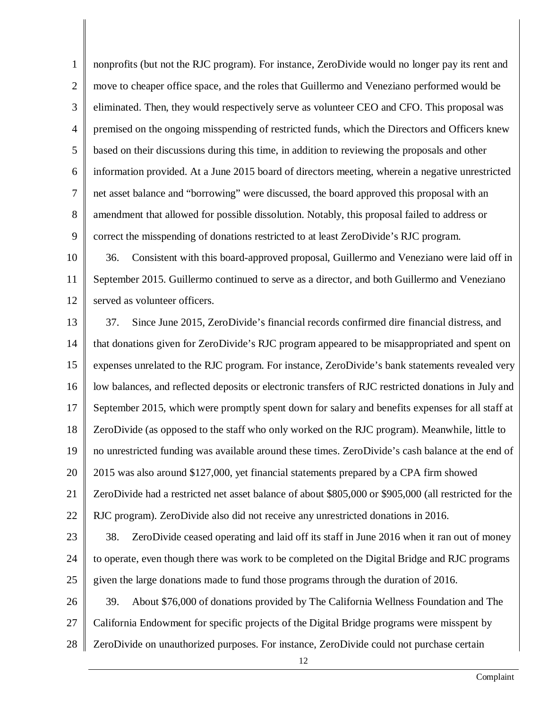1 2 3 4 5 6 7 8 9 nonprofits (but not the RJC program). For instance, ZeroDivide would no longer pay its rent and move to cheaper office space, and the roles that Guillermo and Veneziano performed would be eliminated. Then, they would respectively serve as volunteer CEO and CFO. This proposal was premised on the ongoing misspending of restricted funds, which the Directors and Officers knew based on their discussions during this time, in addition to reviewing the proposals and other information provided. At a June 2015 board of directors meeting, wherein a negative unrestricted net asset balance and "borrowing" were discussed, the board approved this proposal with an amendment that allowed for possible dissolution. Notably, this proposal failed to address or correct the misspending of donations restricted to at least ZeroDivide's RJC program.

10 11 12 36. Consistent with this board-approved proposal, Guillermo and Veneziano were laid off in September 2015. Guillermo continued to serve as a director, and both Guillermo and Veneziano served as volunteer officers.

13 14 15 16 17 18 19 20 21 22 23 24 25 37. Since June 2015, ZeroDivide's financial records confirmed dire financial distress, and that donations given for ZeroDivide's RJC program appeared to be misappropriated and spent on expenses unrelated to the RJC program. For instance, ZeroDivide's bank statements revealed very low balances, and reflected deposits or electronic transfers of RJC restricted donations in July and September 2015, which were promptly spent down for salary and benefits expenses for all staff at ZeroDivide (as opposed to the staff who only worked on the RJC program). Meanwhile, little to no unrestricted funding was available around these times. ZeroDivide's cash balance at the end of 2015 was also around \$127,000, yet financial statements prepared by a CPA firm showed ZeroDivide had a restricted net asset balance of about \$805,000 or \$905,000 (all restricted for the RJC program). ZeroDivide also did not receive any unrestricted donations in 2016. 38. ZeroDivide ceased operating and laid off its staff in June 2016 when it ran out of money to operate, even though there was work to be completed on the Digital Bridge and RJC programs given the large donations made to fund those programs through the duration of 2016.

26 27 28 39. About \$76,000 of donations provided by The California Wellness Foundation and The California Endowment for specific projects of the Digital Bridge programs were misspent by ZeroDivide on unauthorized purposes. For instance, ZeroDivide could not purchase certain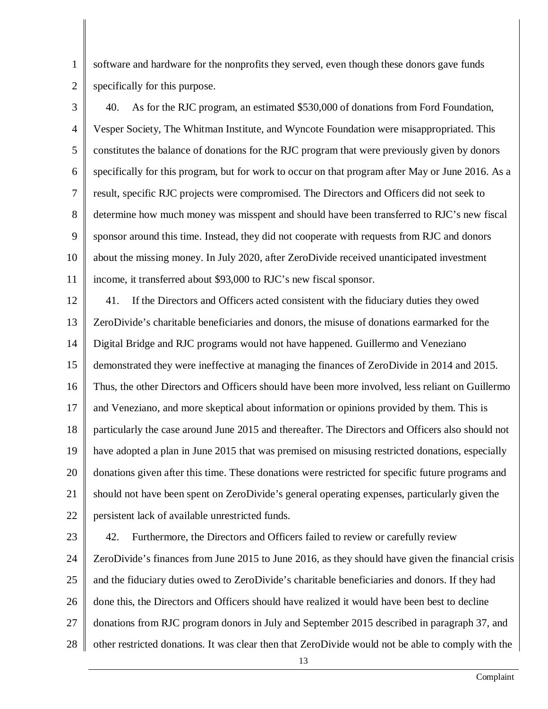2 software and hardware for the nonprofits they served, even though these donors gave funds specifically for this purpose.

1

3 4 5 6 7 8 9 10 11 40. As for the RJC program, an estimated \$530,000 of donations from Ford Foundation, Vesper Society, The Whitman Institute, and Wyncote Foundation were misappropriated. This constitutes the balance of donations for the RJC program that were previously given by donors specifically for this program, but for work to occur on that program after May or June 2016. As a result, specific RJC projects were compromised. The Directors and Officers did not seek to determine how much money was misspent and should have been transferred to RJC's new fiscal sponsor around this time. Instead, they did not cooperate with requests from RJC and donors about the missing money. In July 2020, after ZeroDivide received unanticipated investment income, it transferred about \$93,000 to RJC's new fiscal sponsor.

12 13 14 15 16 17 18 19 20 21 22 41. If the Directors and Officers acted consistent with the fiduciary duties they owed ZeroDivide's charitable beneficiaries and donors, the misuse of donations earmarked for the Digital Bridge and RJC programs would not have happened. Guillermo and Veneziano demonstrated they were ineffective at managing the finances of ZeroDivide in 2014 and 2015. Thus, the other Directors and Officers should have been more involved, less reliant on Guillermo and Veneziano, and more skeptical about information or opinions provided by them. This is particularly the case around June 2015 and thereafter. The Directors and Officers also should not have adopted a plan in June 2015 that was premised on misusing restricted donations, especially donations given after this time. These donations were restricted for specific future programs and should not have been spent on ZeroDivide's general operating expenses, particularly given the persistent lack of available unrestricted funds.

23 24 25 26 27 28 42. Furthermore, the Directors and Officers failed to review or carefully review ZeroDivide's finances from June 2015 to June 2016, as they should have given the financial crisis and the fiduciary duties owed to ZeroDivide's charitable beneficiaries and donors. If they had done this, the Directors and Officers should have realized it would have been best to decline donations from RJC program donors in July and September 2015 described in paragraph 37, and other restricted donations. It was clear then that ZeroDivide would not be able to comply with the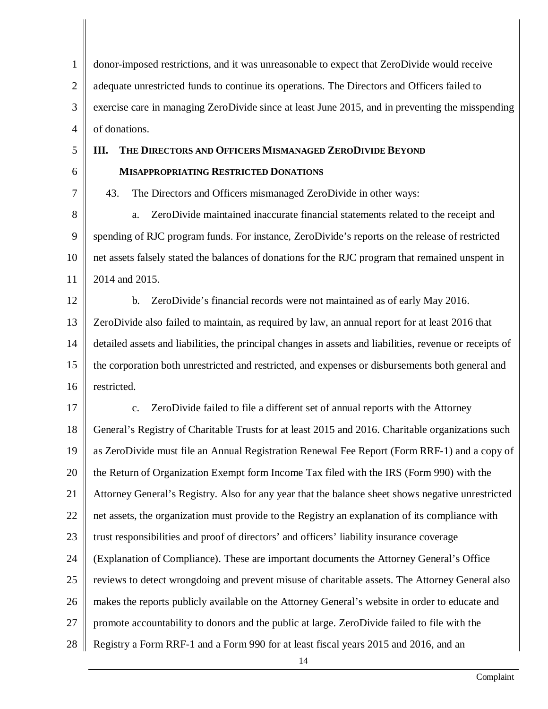1 2 3 4 donor-imposed restrictions, and it was unreasonable to expect that ZeroDivide would receive adequate unrestricted funds to continue its operations. The Directors and Officers failed to exercise care in managing ZeroDivide since at least June 2015, and in preventing the misspending of donations.

5

6 7

## **MISAPPROPRIATING RESTRICTED DONATIONS**

43. The Directors and Officers mismanaged ZeroDivide in other ways:

**III. THE DIRECTORS AND OFFICERS MISMANAGED ZERODIVIDE BEYOND**

8 9 10 11 a. ZeroDivide maintained inaccurate financial statements related to the receipt and spending of RJC program funds. For instance, ZeroDivide's reports on the release of restricted net assets falsely stated the balances of donations for the RJC program that remained unspent in 2014 and 2015.

12

13 14 15 16 b. ZeroDivide's financial records were not maintained as of early May 2016. ZeroDivide also failed to maintain, as required by law, an annual report for at least 2016 that detailed assets and liabilities, the principal changes in assets and liabilities, revenue or receipts of the corporation both unrestricted and restricted, and expenses or disbursements both general and restricted.

17 18 19 20 21 22 23 24 25 26 27 28 c. ZeroDivide failed to file a different set of annual reports with the Attorney General's Registry of Charitable Trusts for at least 2015 and 2016. Charitable organizations such as ZeroDivide must file an Annual Registration Renewal Fee Report (Form RRF-1) and a copy of the Return of Organization Exempt form Income Tax filed with the IRS (Form 990) with the Attorney General's Registry. Also for any year that the balance sheet shows negative unrestricted net assets, the organization must provide to the Registry an explanation of its compliance with trust responsibilities and proof of directors' and officers' liability insurance coverage (Explanation of Compliance). These are important documents the Attorney General's Office reviews to detect wrongdoing and prevent misuse of charitable assets. The Attorney General also makes the reports publicly available on the Attorney General's website in order to educate and promote accountability to donors and the public at large. ZeroDivide failed to file with the Registry a Form RRF-1 and a Form 990 for at least fiscal years 2015 and 2016, and an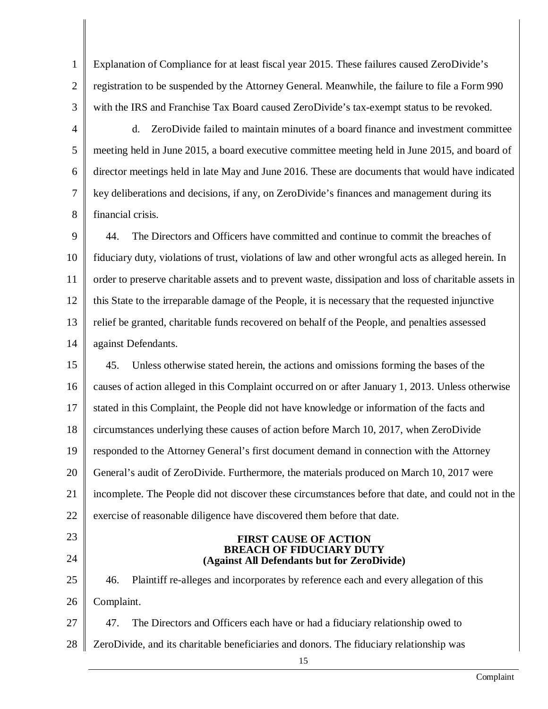1 2 3 Explanation of Compliance for at least fiscal year 2015. These failures caused ZeroDivide's registration to be suspended by the Attorney General. Meanwhile, the failure to file a Form 990 with the IRS and Franchise Tax Board caused ZeroDivide's tax-exempt status to be revoked.

4

5

6

7

8

d. ZeroDivide failed to maintain minutes of a board finance and investment committee meeting held in June 2015, a board executive committee meeting held in June 2015, and board of director meetings held in late May and June 2016. These are documents that would have indicated key deliberations and decisions, if any, on ZeroDivide's finances and management during its financial crisis.

9 10 11 12 13 14 44. The Directors and Officers have committed and continue to commit the breaches of fiduciary duty, violations of trust, violations of law and other wrongful acts as alleged herein. In order to preserve charitable assets and to prevent waste, dissipation and loss of charitable assets in this State to the irreparable damage of the People, it is necessary that the requested injunctive relief be granted, charitable funds recovered on behalf of the People, and penalties assessed against Defendants.

15 16 17 18 19 20 21 22 45. Unless otherwise stated herein, the actions and omissions forming the bases of the causes of action alleged in this Complaint occurred on or after January 1, 2013. Unless otherwise stated in this Complaint, the People did not have knowledge or information of the facts and circumstances underlying these causes of action before March 10, 2017, when ZeroDivide responded to the Attorney General's first document demand in connection with the Attorney General's audit of ZeroDivide. Furthermore, the materials produced on March 10, 2017 were incomplete. The People did not discover these circumstances before that date, and could not in the exercise of reasonable diligence have discovered them before that date.

23

24

#### **FIRST CAUSE OF ACTION BREACH OF FIDUCIARY DUTY (Against All Defendants but for ZeroDivide)**

25 26 27 46. Plaintiff re-alleges and incorporates by reference each and every allegation of this Complaint. 47. The Directors and Officers each have or had a fiduciary relationship owed to

28 ZeroDivide, and its charitable beneficiaries and donors. The fiduciary relationship was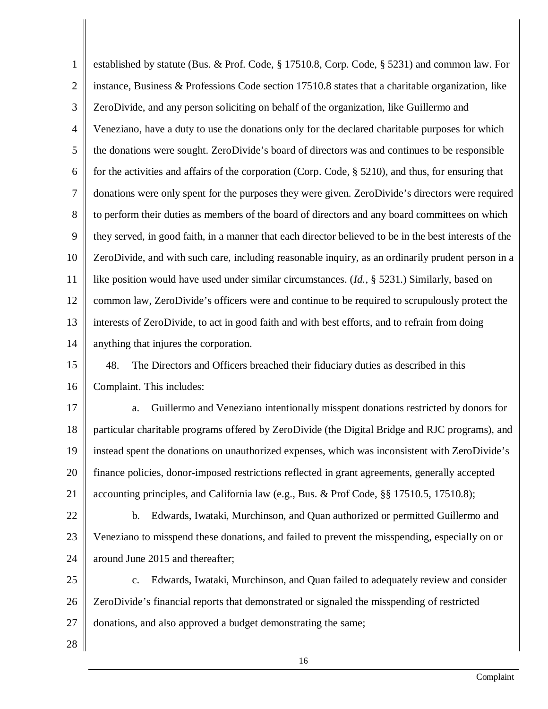1 2 3 4 5 6 7 8 9 10 11 12 13 14 15 16 17 established by statute (Bus. & Prof. Code, § 17510.8, Corp. Code, § 5231) and common law. For instance, Business & Professions Code section 17510.8 states that a charitable organization, like ZeroDivide, and any person soliciting on behalf of the organization, like Guillermo and Veneziano, have a duty to use the donations only for the declared charitable purposes for which the donations were sought. ZeroDivide's board of directors was and continues to be responsible for the activities and affairs of the corporation (Corp. Code, § 5210), and thus, for ensuring that donations were only spent for the purposes they were given. ZeroDivide's directors were required to perform their duties as members of the board of directors and any board committees on which they served, in good faith, in a manner that each director believed to be in the best interests of the ZeroDivide, and with such care, including reasonable inquiry, as an ordinarily prudent person in a like position would have used under similar circumstances. (*Id.*, § 5231.) Similarly, based on common law, ZeroDivide's officers were and continue to be required to scrupulously protect the interests of ZeroDivide, to act in good faith and with best efforts, and to refrain from doing anything that injures the corporation. 48. The Directors and Officers breached their fiduciary duties as described in this Complaint. This includes: a. Guillermo and Veneziano intentionally misspent donations restricted by donors for

18 19 20 21 particular charitable programs offered by ZeroDivide (the Digital Bridge and RJC programs), and instead spent the donations on unauthorized expenses, which was inconsistent with ZeroDivide's finance policies, donor-imposed restrictions reflected in grant agreements, generally accepted accounting principles, and California law (e.g., Bus. & Prof Code, §§ 17510.5, 17510.8);

22 23 24 b. Edwards, Iwataki, Murchinson, and Quan authorized or permitted Guillermo and Veneziano to misspend these donations, and failed to prevent the misspending, especially on or around June 2015 and thereafter;

25 26 27 c. Edwards, Iwataki, Murchinson, and Quan failed to adequately review and consider ZeroDivide's financial reports that demonstrated or signaled the misspending of restricted donations, and also approved a budget demonstrating the same;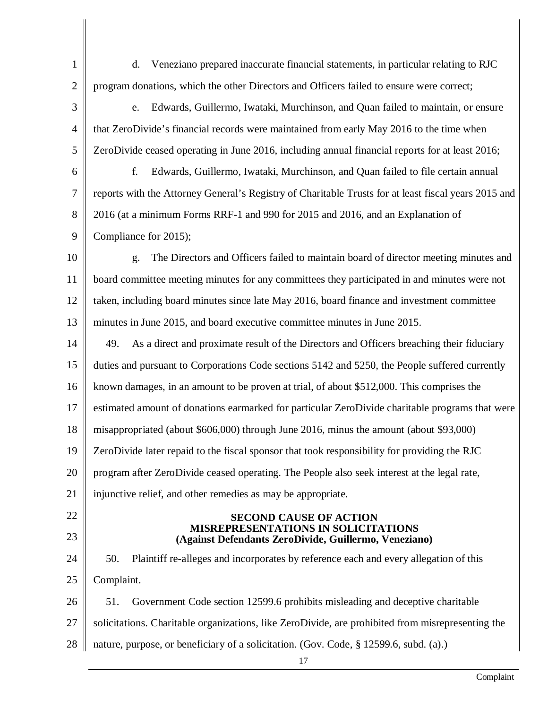d. Veneziano prepared inaccurate financial statements, in particular relating to RJC program donations, which the other Directors and Officers failed to ensure were correct;

3 4 5 e. Edwards, Guillermo, Iwataki, Murchinson, and Quan failed to maintain, or ensure that ZeroDivide's financial records were maintained from early May 2016 to the time when ZeroDivide ceased operating in June 2016, including annual financial reports for at least 2016;

6 7 8 9 f. Edwards, Guillermo, Iwataki, Murchinson, and Quan failed to file certain annual reports with the Attorney General's Registry of Charitable Trusts for at least fiscal years 2015 and 2016 (at a minimum Forms RRF-1 and 990 for 2015 and 2016, and an Explanation of Compliance for 2015);

10 11 12 13 g. The Directors and Officers failed to maintain board of director meeting minutes and board committee meeting minutes for any committees they participated in and minutes were not taken, including board minutes since late May 2016, board finance and investment committee minutes in June 2015, and board executive committee minutes in June 2015.

14 15 16 17 18 19 20 49. As a direct and proximate result of the Directors and Officers breaching their fiduciary duties and pursuant to Corporations Code sections 5142 and 5250, the People suffered currently known damages, in an amount to be proven at trial, of about \$512,000. This comprises the estimated amount of donations earmarked for particular ZeroDivide charitable programs that were misappropriated (about \$606,000) through June 2016, minus the amount (about \$93,000) ZeroDivide later repaid to the fiscal sponsor that took responsibility for providing the RJC program after ZeroDivide ceased operating. The People also seek interest at the legal rate,

21 injunctive relief, and other remedies as may be appropriate.

# 22

1

2

23

#### **SECOND CAUSE OF ACTION MISREPRESENTATIONS IN SOLICITATIONS (Against Defendants ZeroDivide, Guillermo, Veneziano)**

24 25 26 50. Plaintiff re-alleges and incorporates by reference each and every allegation of this Complaint. 51. Government Code section 12599.6 prohibits misleading and deceptive charitable

27 solicitations. Charitable organizations, like ZeroDivide, are prohibited from misrepresenting the

28 nature, purpose, or beneficiary of a solicitation. (Gov. Code, § 12599.6, subd. (a).)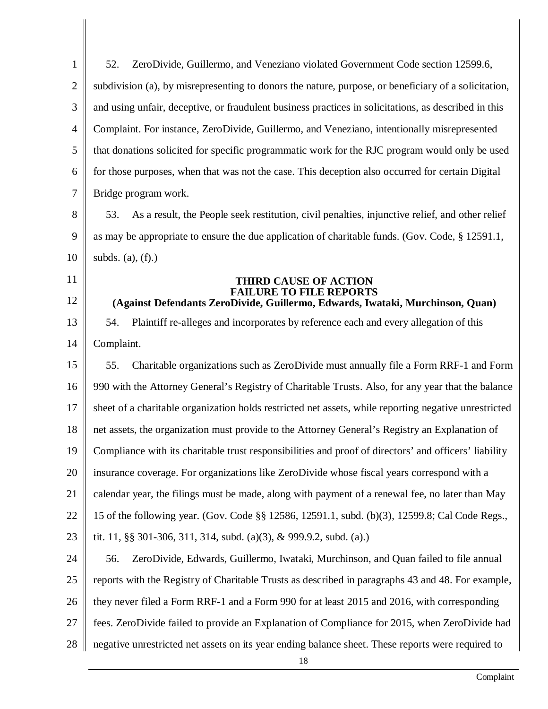1 2 3 4 5 6 7 8 9 10 11 12 13 14 15 16 17 18 19 20 21 22 23 24 52. ZeroDivide, Guillermo, and Veneziano violated Government Code section 12599.6, subdivision (a), by misrepresenting to donors the nature, purpose, or beneficiary of a solicitation, and using unfair, deceptive, or fraudulent business practices in solicitations, as described in this Complaint. For instance, ZeroDivide, Guillermo, and Veneziano, intentionally misrepresented that donations solicited for specific programmatic work for the RJC program would only be used for those purposes, when that was not the case. This deception also occurred for certain Digital Bridge program work. 53. As a result, the People seek restitution, civil penalties, injunctive relief, and other relief as may be appropriate to ensure the due application of charitable funds. (Gov. Code, § 12591.1, subds. (a),  $(f)$ .) **THIRD CAUSE OF ACTION FAILURE TO FILE REPORTS (Against Defendants ZeroDivide, Guillermo, Edwards, Iwataki, Murchinson, Quan)** 54. Plaintiff re-alleges and incorporates by reference each and every allegation of this Complaint. 55. Charitable organizations such as ZeroDivide must annually file a Form RRF-1 and Form 990 with the Attorney General's Registry of Charitable Trusts. Also, for any year that the balance sheet of a charitable organization holds restricted net assets, while reporting negative unrestricted net assets, the organization must provide to the Attorney General's Registry an Explanation of Compliance with its charitable trust responsibilities and proof of directors' and officers' liability insurance coverage. For organizations like ZeroDivide whose fiscal years correspond with a calendar year, the filings must be made, along with payment of a renewal fee, no later than May 15 of the following year. (Gov. Code §§ 12586, 12591.1, subd. (b)(3), 12599.8; Cal Code Regs., tit. 11, §§ 301-306, 311, 314, subd. (a)(3), & 999.9.2, subd. (a).) 56. ZeroDivide, Edwards, Guillermo, Iwataki, Murchinson, and Quan failed to file annual

25 26 27 28 reports with the Registry of Charitable Trusts as described in paragraphs 43 and 48. For example, they never filed a Form RRF-1 and a Form 990 for at least 2015 and 2016, with corresponding fees. ZeroDivide failed to provide an Explanation of Compliance for 2015, when ZeroDivide had negative unrestricted net assets on its year ending balance sheet. These reports were required to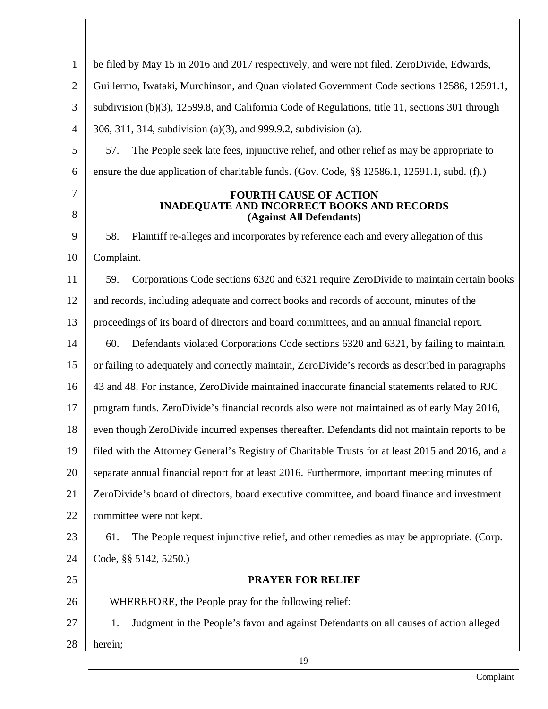| $\mathbf{1}$   | be filed by May 15 in 2016 and 2017 respectively, and were not filed. ZeroDivide, Edwards,                     |  |  |
|----------------|----------------------------------------------------------------------------------------------------------------|--|--|
| $\overline{2}$ | Guillermo, Iwataki, Murchinson, and Quan violated Government Code sections 12586, 12591.1,                     |  |  |
| 3              | subdivision (b)(3), 12599.8, and California Code of Regulations, title 11, sections 301 through                |  |  |
| $\overline{4}$ | 306, 311, 314, subdivision (a)(3), and 999.9.2, subdivision (a).                                               |  |  |
| 5              | The People seek late fees, injunctive relief, and other relief as may be appropriate to<br>57.                 |  |  |
| 6              | ensure the due application of charitable funds. (Gov. Code, §§ 12586.1, 12591.1, subd. (f).)                   |  |  |
| 7<br>8         | <b>FOURTH CAUSE OF ACTION</b><br><b>INADEQUATE AND INCORRECT BOOKS AND RECORDS</b><br>(Against All Defendants) |  |  |
| 9              | 58.<br>Plaintiff re-alleges and incorporates by reference each and every allegation of this                    |  |  |
| 10             | Complaint.                                                                                                     |  |  |
| 11             | Corporations Code sections 6320 and 6321 require ZeroDivide to maintain certain books<br>59.                   |  |  |
| 12             | and records, including adequate and correct books and records of account, minutes of the                       |  |  |
| 13             | proceedings of its board of directors and board committees, and an annual financial report.                    |  |  |
| 14             | Defendants violated Corporations Code sections 6320 and 6321, by failing to maintain,<br>60.                   |  |  |
| 15             | or failing to adequately and correctly maintain, ZeroDivide's records as described in paragraphs               |  |  |
| 16             | 43 and 48. For instance, ZeroDivide maintained inaccurate financial statements related to RJC                  |  |  |
| 17             | program funds. ZeroDivide's financial records also were not maintained as of early May 2016,                   |  |  |
| 18             | even though ZeroDivide incurred expenses thereafter. Defendants did not maintain reports to be                 |  |  |
| 19             | filed with the Attorney General's Registry of Charitable Trusts for at least 2015 and 2016, and a              |  |  |
| 20             | separate annual financial report for at least 2016. Furthermore, important meeting minutes of                  |  |  |
| 21             | ZeroDivide's board of directors, board executive committee, and board finance and investment                   |  |  |
| 22             | committee were not kept.                                                                                       |  |  |
| 23             | The People request injunctive relief, and other remedies as may be appropriate. (Corp.<br>61.                  |  |  |
| 24             | Code, §§ 5142, 5250.)                                                                                          |  |  |
| 25             | <b>PRAYER FOR RELIEF</b>                                                                                       |  |  |
| 26             | WHEREFORE, the People pray for the following relief:                                                           |  |  |
| 27             | Judgment in the People's favor and against Defendants on all causes of action alleged<br>1.                    |  |  |
| 28             | herein;                                                                                                        |  |  |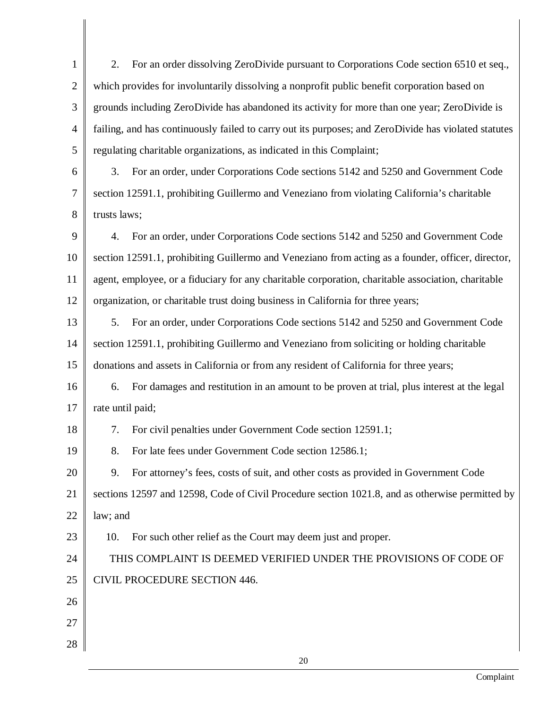1 2 3 4 5 2. For an order dissolving ZeroDivide pursuant to Corporations Code section 6510 et seq., which provides for involuntarily dissolving a nonprofit public benefit corporation based on grounds including ZeroDivide has abandoned its activity for more than one year; ZeroDivide is failing, and has continuously failed to carry out its purposes; and ZeroDivide has violated statutes regulating charitable organizations, as indicated in this Complaint;

6 7 8 3. For an order, under Corporations Code sections 5142 and 5250 and Government Code section 12591.1, prohibiting Guillermo and Veneziano from violating California's charitable trusts laws;

9 10 11 12 4. For an order, under Corporations Code sections 5142 and 5250 and Government Code section 12591.1, prohibiting Guillermo and Veneziano from acting as a founder, officer, director, agent, employee, or a fiduciary for any charitable corporation, charitable association, charitable organization, or charitable trust doing business in California for three years;

13 14 15 5. For an order, under Corporations Code sections 5142 and 5250 and Government Code section 12591.1, prohibiting Guillermo and Veneziano from soliciting or holding charitable donations and assets in California or from any resident of California for three years;

16 17 6. For damages and restitution in an amount to be proven at trial, plus interest at the legal rate until paid;

7. For civil penalties under Government Code section 12591.1;

8. For late fees under Government Code section 12586.1;

18

19

26

27

28

20 21 22 9. For attorney's fees, costs of suit, and other costs as provided in Government Code sections 12597 and 12598, Code of Civil Procedure section 1021.8, and as otherwise permitted by law; and

23 10. For such other relief as the Court may deem just and proper.

24 25 THIS COMPLAINT IS DEEMED VERIFIED UNDER THE PROVISIONS OF CODE OF CIVIL PROCEDURE SECTION 446.